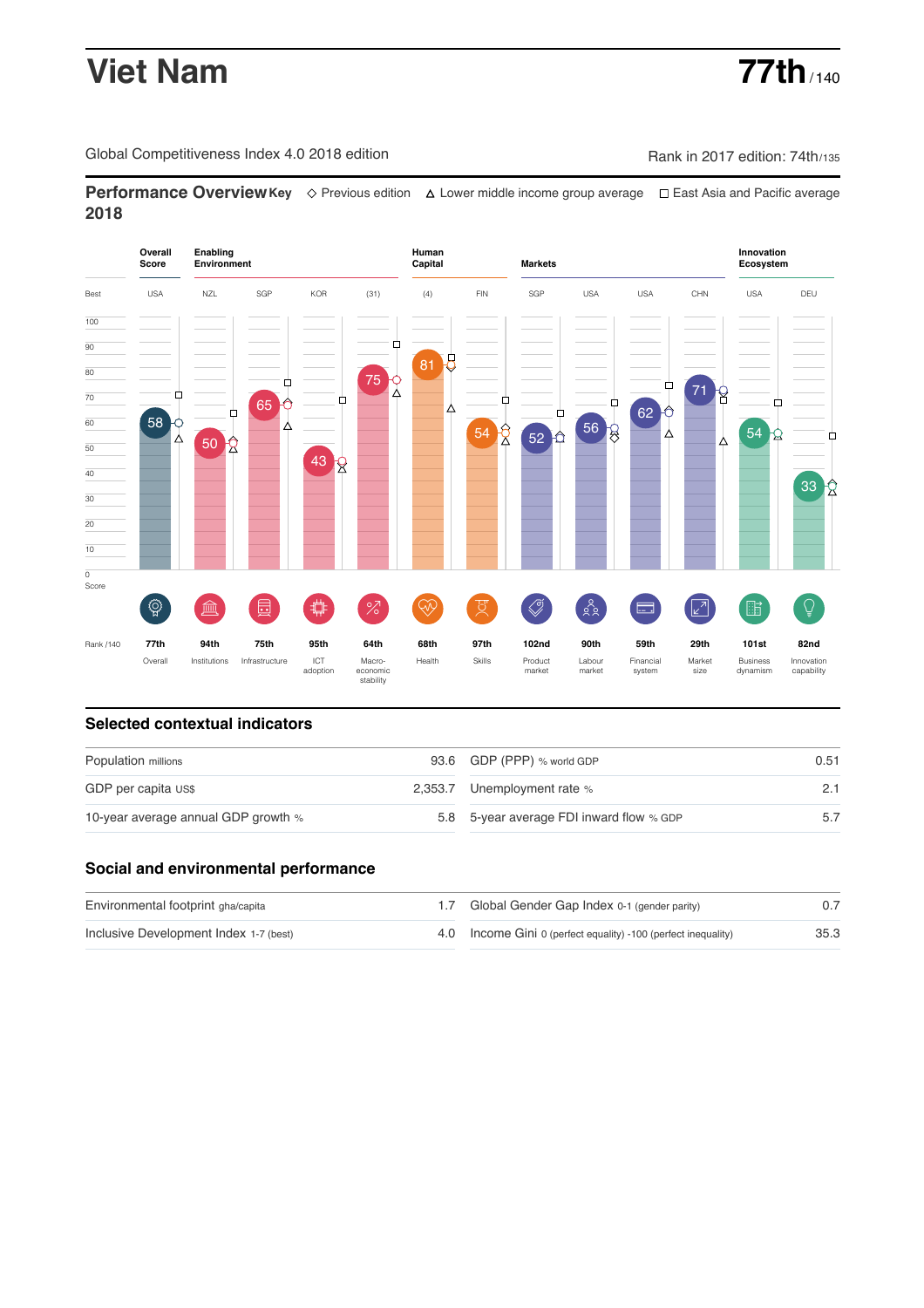# **Viet Nam 77th** / 140

Global Competitiveness Index 4.0 2018 edition Company Rank in 2017 edition: 74th/135

**Performance OverviewKey** Previous edition Lower middle income group average East Asia and Pacific average **2018**



## **Selected contextual indicators**

| Population millions                 | 93.6 GDP (PPP) % world GDP               | 0.51 |  |
|-------------------------------------|------------------------------------------|------|--|
| GDP per capita US\$                 | 2,353.7 Unemployment rate %              |      |  |
| 10-year average annual GDP growth % | 5.8 5-year average FDI inward flow % GDP |      |  |

### **Social and environmental performance**

| Environmental footprint gha/capita     | 1.7 Global Gender Gap Index 0-1 (gender parity)                |      |
|----------------------------------------|----------------------------------------------------------------|------|
| Inclusive Development Index 1-7 (best) | 4.0 Income Gini 0 (perfect equality) -100 (perfect inequality) | 35.3 |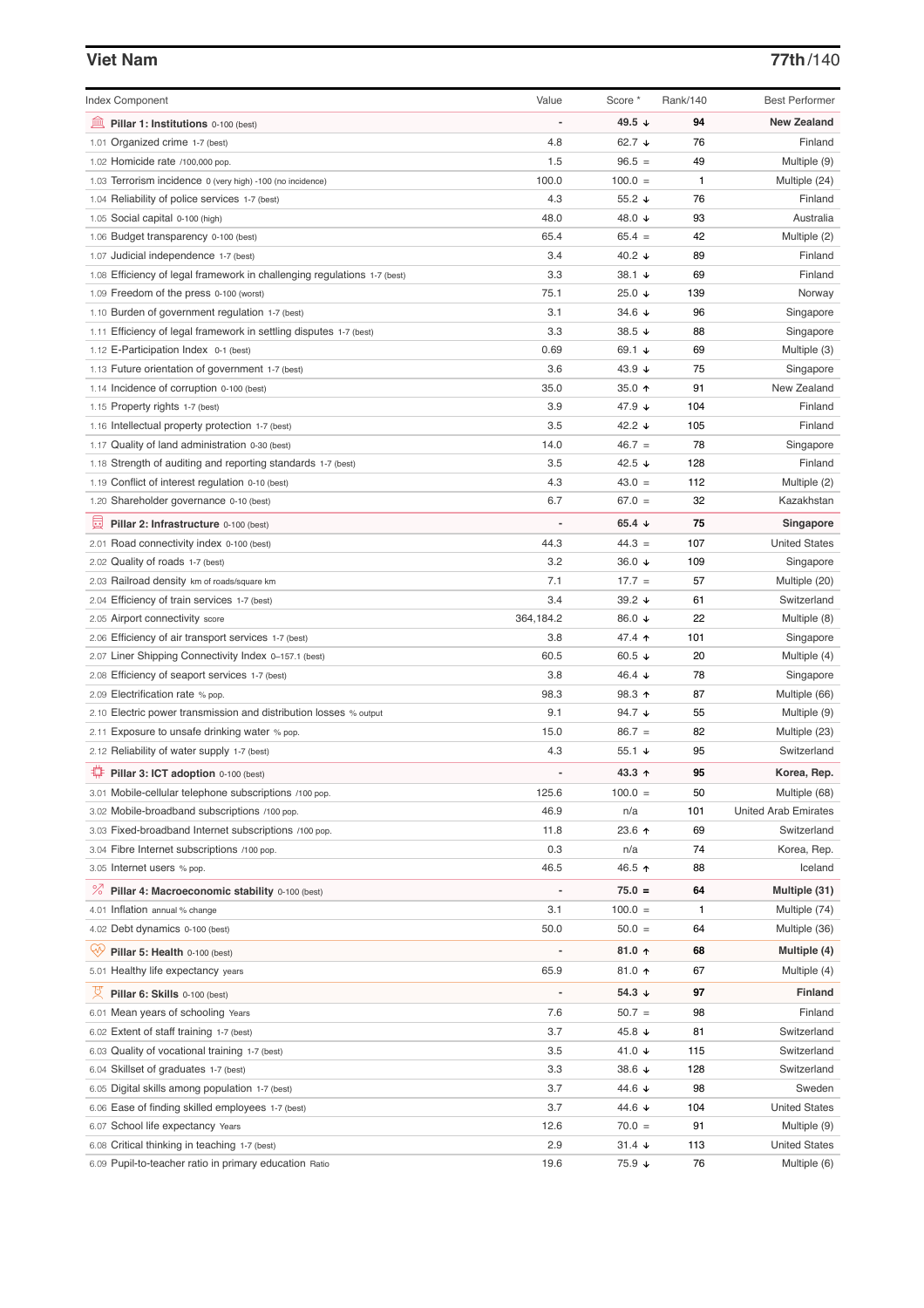### **Viet Nam 77th**/140

| <b>Index Component</b>                                                   | Value     | Score *                  | <b>Rank/140</b> | <b>Best Performer</b>       |
|--------------------------------------------------------------------------|-----------|--------------------------|-----------------|-----------------------------|
| 無<br>Pillar 1: Institutions 0-100 (best)                                 |           | 49.5 ↓                   | 94              | <b>New Zealand</b>          |
| 1.01 Organized crime 1-7 (best)                                          | 4.8       | 62.7 $\sqrt{ }$          | 76              | Finland                     |
| 1.02 Homicide rate /100,000 pop.                                         | 1.5       | $96.5 =$                 | 49              | Multiple (9)                |
| 1.03 Terrorism incidence 0 (very high) -100 (no incidence)               | 100.0     | $100.0 =$                | $\mathbf{1}$    | Multiple (24)               |
| 1.04 Reliability of police services 1-7 (best)                           | 4.3       | 55.2 $\sqrt{ }$          | 76              | Finland                     |
| 1.05 Social capital 0-100 (high)                                         | 48.0      | 48.0 ↓                   | 93              | Australia                   |
| 1.06 Budget transparency 0-100 (best)                                    | 65.4      | $65.4 =$                 | 42              | Multiple (2)                |
| 1.07 Judicial independence 1-7 (best)                                    | 3.4       | 40.2 $\sqrt{ }$          | 89              | Finland                     |
| 1.08 Efficiency of legal framework in challenging regulations 1-7 (best) | 3.3       | 38.1 ↓                   | 69              | Finland                     |
| 1.09 Freedom of the press 0-100 (worst)                                  | 75.1      | 25.0 $\sqrt{ }$          | 139             | Norway                      |
| 1.10 Burden of government regulation 1-7 (best)                          | 3.1       | 34.6 $\sqrt{ }$          | 96              | Singapore                   |
| 1.11 Efficiency of legal framework in settling disputes 1-7 (best)       | 3.3       | 38.5 $\sqrt{ }$          | 88              | Singapore                   |
| 1.12 E-Participation Index 0-1 (best)                                    | 0.69      | 69.1 $\sqrt{ }$          | 69              | Multiple (3)                |
| 1.13 Future orientation of government 1-7 (best)                         | 3.6       | 43.9 $\sqrt{ }$          | 75              | Singapore                   |
| 1.14 Incidence of corruption 0-100 (best)                                | 35.0      | 35.0 $\uparrow$          | 91              | New Zealand                 |
| 1.15 Property rights 1-7 (best)                                          | 3.9       | 47.9 ↓                   | 104             | Finland                     |
| 1.16 Intellectual property protection 1-7 (best)                         | 3.5       | 42.2 $\sqrt{ }$          | 105             | Finland                     |
| 1.17 Quality of land administration 0-30 (best)                          | 14.0      | $46.7 =$                 | 78              | Singapore                   |
| 1.18 Strength of auditing and reporting standards 1-7 (best)             | 3.5       | 42.5 $\sqrt{ }$          | 128             | Finland                     |
| 1.19 Conflict of interest regulation 0-10 (best)                         | 4.3       | $43.0 =$                 | 112             | Multiple (2)                |
| 1.20 Shareholder governance 0-10 (best)                                  | 6.7       | $67.0 =$                 | 32              | Kazakhstan                  |
|                                                                          |           |                          |                 |                             |
| 曼<br>Pillar 2: Infrastructure 0-100 (best)                               |           | 65.4 $\sqrt{ }$          | 75              | Singapore                   |
| 2.01 Road connectivity index 0-100 (best)                                | 44.3      | $44.3 =$                 | 107             | <b>United States</b>        |
| 2.02 Quality of roads 1-7 (best)                                         | 3.2       | 36.0 $\sqrt{ }$          | 109             | Singapore                   |
| 2.03 Railroad density km of roads/square km                              | 7.1       | $17.7 =$                 | 57              | Multiple (20)               |
| 2.04 Efficiency of train services 1-7 (best)                             | 3.4       | 39.2 $\sqrt{ }$          | 61              | Switzerland                 |
| 2.05 Airport connectivity score                                          | 364,184.2 | 86.0 ↓                   | 22              | Multiple (8)                |
| 2.06 Efficiency of air transport services 1-7 (best)                     | 3.8       | 47.4 ↑                   | 101             | Singapore                   |
| 2.07 Liner Shipping Connectivity Index 0-157.1 (best)                    | 60.5      | 60.5 $\sqrt{ }$          | 20              | Multiple (4)                |
| 2.08 Efficiency of seaport services 1-7 (best)                           | 3.8       | 46.4 $\sqrt{ }$          | 78              | Singapore                   |
| 2.09 Electrification rate % pop.                                         | 98.3      | $98.3 \text{ } \Upsilon$ | 87              | Multiple (66)               |
| 2.10 Electric power transmission and distribution losses % output        | 9.1       | 94.7 $\sqrt{ }$          | 55              | Multiple (9)                |
| 2.11 Exposure to unsafe drinking water % pop.                            | 15.0      | $86.7 =$                 | 82              | Multiple (23)               |
| 2.12 Reliability of water supply 1-7 (best)                              | 4.3       | 55.1 $\sqrt{ }$          | 95              | Switzerland                 |
| ₩<br>Pillar 3: ICT adoption 0-100 (best)                                 |           | 43.3 $\uparrow$          | 95              | Korea, Rep.                 |
| 3.01 Mobile-cellular telephone subscriptions /100 pop.                   | 125.6     | $100.0 =$                | 50              | Multiple (68)               |
| 3.02 Mobile-broadband subscriptions /100 pop.                            | 46.9      | n/a                      | 101             | <b>United Arab Emirates</b> |
| 3.03 Fixed-broadband Internet subscriptions /100 pop.                    | 11.8      | 23.6 个                   | 69              | Switzerland                 |
| 3.04 Fibre Internet subscriptions /100 pop.                              | 0.3       | n/a                      | 74              | Korea, Rep.                 |
| 3.05 Internet users % pop.                                               | 46.5      | 46.5 ↑                   | 88              | Iceland                     |
| <sup>%</sup> Pillar 4: Macroeconomic stability 0-100 (best)              |           | $75.0 =$                 | 64              | Multiple (31)               |
|                                                                          |           | $100.0 =$                | 1               |                             |
| 4.01 Inflation annual % change                                           | 3.1       |                          |                 | Multiple (74)               |
| 4.02 Debt dynamics 0-100 (best)                                          | 50.0      | $50.0 =$                 | 64              | Multiple (36)               |
| Qv<br>Pillar 5: Health 0-100 (best)                                      |           | 81.0 个                   | 68              | Multiple (4)                |
| 5.01 Healthy life expectancy years                                       | 65.9      | 81.0 个                   | 67              | Multiple (4)                |
| 섯<br>Pillar 6: Skills 0-100 (best)                                       |           | 54.3 $\sqrt{ }$          | 97              | <b>Finland</b>              |
| 6.01 Mean years of schooling Years                                       | 7.6       | $50.7 =$                 | 98              | Finland                     |
| 6.02 Extent of staff training 1-7 (best)                                 | 3.7       | 45.8 ↓                   | 81              | Switzerland                 |
| 6.03 Quality of vocational training 1-7 (best)                           | 3.5       | 41.0 ↓                   | 115             | Switzerland                 |
| 6.04 Skillset of graduates 1-7 (best)                                    | 3.3       | 38.6 ↓                   | 128             | Switzerland                 |
| 6.05 Digital skills among population 1-7 (best)                          | 3.7       | 44.6 ↓                   | 98              | Sweden                      |
| 6.06 Ease of finding skilled employees 1-7 (best)                        | 3.7       | 44.6 ↓                   | 104             | <b>United States</b>        |
| 6.07 School life expectancy Years                                        | 12.6      | $70.0 =$                 | 91              | Multiple (9)                |
| 6.08 Critical thinking in teaching 1-7 (best)                            | 2.9       | $31.4 +$                 | 113             | <b>United States</b>        |
| 6.09 Pupil-to-teacher ratio in primary education Ratio                   | 19.6      | 75.9 ↓                   | 76              | Multiple (6)                |